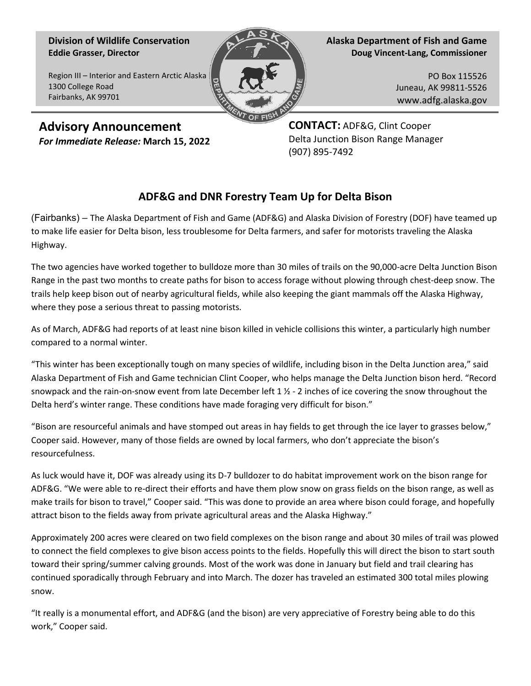## **Division of Wildlife Conservation Eddie Grasser, Director**

1300 College Road Fairbanks, AK 99701

Region III – Interior and Eastern Arctic Alaska

**Alaska Department of Fish and Game Doug Vincent-Lang, Commissioner**

> PO Box 115526 Juneau, AK 99811-5526 www.adfg.alaska.gov

**Advisory Announcement** *For Immediate Release:* **March 15, 2022** **CONTACT:** ADF&G, Clint Cooper Delta Junction Bison Range Manager (907) 895-7492

## **ADF&G and DNR Forestry Team Up for Delta Bison**

(Fairbanks) – The Alaska Department of Fish and Game (ADF&G) and Alaska Division of Forestry (DOF) have teamed up to make life easier for Delta bison, less troublesome for Delta farmers, and safer for motorists traveling the Alaska Highway.

The two agencies have worked together to bulldoze more than 30 miles of trails on the 90,000-acre Delta Junction Bison Range in the past two months to create paths for bison to access forage without plowing through chest-deep snow. The trails help keep bison out of nearby agricultural fields, while also keeping the giant mammals off the Alaska Highway, where they pose a serious threat to passing motorists.

As of March, ADF&G had reports of at least nine bison killed in vehicle collisions this winter, a particularly high number compared to a normal winter.

"This winter has been exceptionally tough on many species of wildlife, including bison in the Delta Junction area," said Alaska Department of Fish and Game technician Clint Cooper, who helps manage the Delta Junction bison herd. "Record snowpack and the rain-on-snow event from late December left  $1\frac{1}{2}$  - 2 inches of ice covering the snow throughout the Delta herd's winter range. These conditions have made foraging very difficult for bison."

"Bison are resourceful animals and have stomped out areas in hay fields to get through the ice layer to grasses below," Cooper said. However, many of those fields are owned by local farmers, who don't appreciate the bison's resourcefulness.

As luck would have it, DOF was already using its D-7 bulldozer to do habitat improvement work on the bison range for ADF&G. "We were able to re-direct their efforts and have them plow snow on grass fields on the bison range, as well as make trails for bison to travel," Cooper said. "This was done to provide an area where bison could forage, and hopefully attract bison to the fields away from private agricultural areas and the Alaska Highway."

Approximately 200 acres were cleared on two field complexes on the bison range and about 30 miles of trail was plowed to connect the field complexes to give bison access points to the fields. Hopefully this will direct the bison to start south toward their spring/summer calving grounds. Most of the work was done in January but field and trail clearing has continued sporadically through February and into March. The dozer has traveled an estimated 300 total miles plowing snow.

"It really is a monumental effort, and ADF&G (and the bison) are very appreciative of Forestry being able to do this work," Cooper said.